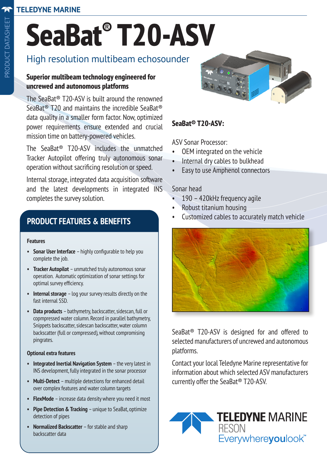#### **TELEDYNE MARINE**

# **SeaBat® T20-ASV**

## High resolution multibeam echosounder

#### **Superior multibeam technology engineered for uncrewed and autonomous platforms**

The SeaBat® T20-ASV is built around the renowned SeaBat® T20 and maintains the incredible SeaBat® data quality in a smaller form factor. Now, optimized power requirements ensure extended and crucial mission time on battery-powered vehicles.

The SeaBat® T20-ASV includes the unmatched Tracker Autopilot offering truly autonomous sonar operation without sacrificing resolution or speed.

Internal storage, integrated data acquisition software and the latest developments in integrated INS completes the survey solution.

### **PRODUCT FEATURES & BENEFITS**

#### **Features**

- **• Sonar User Interface** highly configurable to help you complete the job.
- **• Tracker Autopilot**  unmatched truly autonomous sonar operation. Automatic optimization of sonar settings for optimal survey efficiency.
- **• Internal storage**  log your survey results directly on the fast internal SSD.
- backscatter (full or compressed), without compromising<br>pinarates **• Data products** – bathymetry, backscatter, sidescan, full or copmpressed water column. Record in parallel bathymetry, Snippets backscatter, sidescan backscatter, water column pingrates.

#### **Optional extra features**

- **• Integrated Inertial Navigation System** the very latest in INS development, fully integrated in the sonar processor
- **• Multi-Detect**  multiple detections for enhanced detail over complex features and water column targets
- **• FlexMode** increase data density where you need it most
- **• Pipe Detection & Tracking** unique to SeaBat, optimize detection of pipes
- **• Normalized Backscatter**  for stable and sharp backscatter data



#### **SeaBat® T20-ASV:**

ASV Sonar Processor:

- OEM integrated on the vehicle
- Internal dry cables to bulkhead
- Easy to use Amphenol connectors

#### Sonar head

- 190 420kHz frequency agile
- Robust titanium housing
- Customized cables to accurately match vehicle



SeaBat® T20-ASV is designed for and offered to selected manufacturers of uncrewed and autonomous platforms.

Contact your local Teledyne Marine representative for information about which selected ASV manufacturers currently offer the SeaBat® T20-ASV.